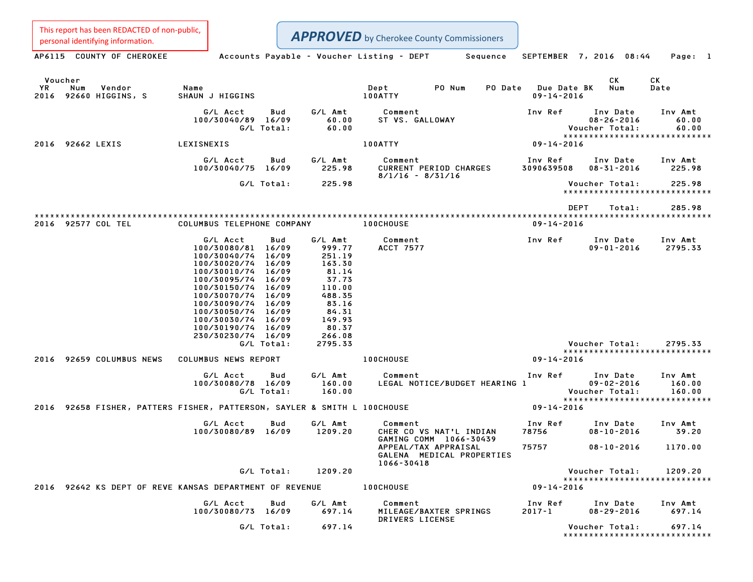**APPROVED** by Cherokee County Commissioners

This report has been REDACTED of non-public,

Personalidentifying information.<br>AP6115 COUNTY OF CHEROKEE Accounts Payable - Voucher Listing - DEPT Sequence SEPTEMBER 7, 2016 08:44 Page: 1 Voucher CK CK YR Num Vendor Name Dept PO Num PO Date Due Date BK Num Date <sup>2016</sup> <sup>92660</sup> HIGGINS, <sup>S</sup> SHAUN <sup>J</sup> HIGGINS 100ATTY 09-14-2016 G/L Acct Bud G/L Amt Comment Inv Ref Inv Date Inv Amt 100/30040/89 16/09 60.00 ST VS. GALLOWAY 08-26-2016 60.00 G/L Total: 60.00 Voucher Total: 60.00 08-26-2016 60.00<br>Voucher Total: 60.00<br>\*\*\*\*\*\*\*\*\*\*\*\*\*\*\*\*\*\*\*\*\*\*\*\*\*\*\*\*\*\*\* <sup>2016</sup> <sup>92662</sup> LEXIS LEXISNEXIS 100ATTY 09-14-2016 G/L Acct Bud G/L Amt Comment Inv Ref Inv Date Inv Amt 100/1 Acct 2006 1008 Bud G/L Amt Comment<br>100/30040/75 16/09 225.98 CURRENT PERIOD CHARGES 3090639508 08-31-2016 225.98 Comment<br>CURRENT PERIOD CHARGES<br>8/1/16 - 8/31/16 G/L Total: 225.98 Voucher Total: 225.98 \*\*\*\*\*\*\*\*\*\*\*\*\*\*\*\*\*\*\*\*\*\*\*\*\*\*\*\*\* \*\*\*\*\*\*\*\*\*\*\*\*\*\*\*\*\*\*\*\*\*\*\*\*<br>DEPT Total: 285.98 \*\*\*\*\*\*\*\*\*\*\*\*\*\*\*\*\*\*\*\*\*\*\*\*\*\*\*\*\*\*\*\*\*\*\*\*\*\*\*\*\*\*\*\*\*\*\*\*\*\*\*\*\*\*\*\*\*\*\*\*\*\*\*\*\*\*\*\*\*\*\*\*\*\*\*\*\*\*\*\*\*\*\*\*\*\*\*\*\*\*\*\*\*\*\*\*\*\*\*\*\*\*\*\*\*\*\*\*\*\*\*\*\*\*\*\*\*\*\*\*\*\*\*\*\*\*\*\*\*\*\*\* <sup>2016</sup> <sup>92577</sup> COL TEL COLUMBUS TELEPHONE COMPANY 100CHOUSE 09-14-2016 G/L Acct Bud G/L Amt Comment Inv Ref Inv Date Inv Amt 100/30080/81 16/09 999.77 ACCT <sup>7577</sup> 09-01-2016 2795.33 100/30080/81 16/09 6/L Amt<br>100/30080/81 16/09 999.77<br>100/30040/74 16/09 251.19 100/30020/74 16/09 163.30 100/30010/74 16/09 81.14 100/30020/74 16/09 163.30<br>100/30010/74 16/09 81.14<br>100/30095/74 16/09 37.73 100/30150/74 16/09 110.00 100/30095/74 16/09 37.73<br>100/30150/74 16/09 110.00<br>100/30070/74 16/09 488.35 100/30070/74 16/09 488.35<br>100/30090/74 16/09 83.16 100/30050/74 16/09 84.31 100/30050/74 16/09 84.31<br>100/30030/74 16/09 149.93 100/30190/74 16/09 80.37 230/30230/74 16/09 266.08 G/L Total: 2795.33 Voucher Total: 2795.33 Voucher Total: 2795.33<br>\*\*\*\*\*\*\*\*\*\*\*\*\*\*\*\*\*\*\*\*\*\*\*\*\*\*\*\*\* <sup>2016</sup> <sup>92659</sup> COLUMBUS NEWS COLUMBUS NEWS REPORT 100CHOUSE 09-14-2016 UMBUS NEWS REPORT 100CHOUSE 09-14-2016<br> G/L Amt Comment Inv Ref Inv Date Inv Amt 100/30080/78 16/09 160.00 LEGAL NOTICE/BUDGET HEARING <sup>1</sup> 09-02-2016 160.00 G/L Total: 160.00 Voucher Total: 160.00 09-02-2016 160.00<br>Voucher Total: 160.00<br>\*\*\*\*\*\*\*\*\*\*\*\*\*\*\*\*\*\*\*\*\*\*\*\*\*\*\*\*\*\* <sup>2016</sup> <sup>92658</sup> FISHER, PATTERS FISHER, PATTERSON, SAYLER & SMITH <sup>L</sup> 100CHOUSE 09-14-2016 HER, PATTERSON, SAYLER & SMITH L 100CHOUSE 09–14–2016<br>|-<br>|G/L Acct | Bud | G/L Amt | Comment | Comment | Inv Ref | Inv Date | Inv Amt 100/10081 1008/0081 1008108/ 10081080/4 10081080/4 10081080/40081 10081080<br>100/30080/89 16/09 1209.20 CHER CO VS NAT'L INDIAN 78756 08-10-2016 39.20 Comment<br>CHER CO VS NAT'L INDIAN CHER CO VS NAT'L INDIAN 78756 08-10-2016 39.20<br>CAMING COMM 1066-30439 08-10-2016 1170.00<br>APPEAL/TAX APPRAISAL 75757 08-10-2016 1170.00 GAMING COMM 1066–30439<br>APPEAL/TAX APPRAISAL<br>GALENA MEDICAL PROPERTIES APPEAL/TAX<br>GALENA ME<br>1066-30418 GALENA MEDICAL PROPERTIES<br>1209.20 Voucher Total: 1209.20<br>20.20 Voucher Total: 1209.20 Voucher Total: 1209.20<br>\*\*\*\*\*\*\*\*\*\*\*\*\*\*\*\*\*\*\*\*\*\*\*\*\*\*\*\* <sup>2016</sup> <sup>92642</sup> KS DEPT OF REVE KANSAS DEPARTMENT OF REVENUE 100CHOUSE 09-14-2016 SAS DEPARTMENT OF REVENUE 100CHOUSE 09-14-2016<br> G/L Acct Bud G/L Amt Comment Inv Ref Inv Date Inv Amt 100/30080/73 16/09 697.14 MILEAGE/BAXTER SPRINGS 2017-1 08-29-2016 697.14 Comment<br>MILEAGE/BAXTER SPRINGS<br>DRIVERS LICENSE G/L Total: 697.14 Voucher Total: 697.14 Voucher Total: 697.14<br>\*\*\*\*\*\*\*\*\*\*\*\*\*\*\*\*\*\*\*\*\*\*\*\*\*\*\*\*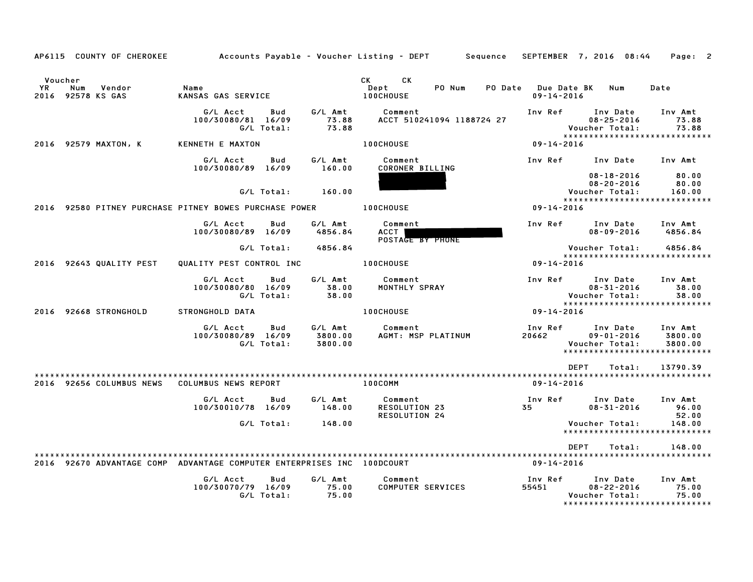|                      | AP6115 COUNTY OF CHEROKEE          |                                                                        |                   |                               | Accounts Payable – Voucher Listing – DEPT               | Sequence                                          | SEPTEMBER 7, 2016 08:44                                                          | Page: 2                       |
|----------------------|------------------------------------|------------------------------------------------------------------------|-------------------|-------------------------------|---------------------------------------------------------|---------------------------------------------------|----------------------------------------------------------------------------------|-------------------------------|
| Voucher<br><b>YR</b> | Num<br>Vendor<br>2016 92578 KS GAS | Name<br>KANSAS GAS SERVICE                                             |                   |                               | CK<br><b>CK</b><br>Dept<br>PO Num<br>100CHOUSE          | PO Date<br><b>Due Date BK</b><br>$09 - 14 - 2016$ | Num                                                                              | Date                          |
|                      |                                    | G/L Acct<br>100/30080/81 16/09                                         | Bud<br>G/L Total: | G/L Amt<br>73.88<br>73.88     | Comment<br>ACCT 510241094 1188724 27                    | Inv Ref                                           | Inv Date<br>$08 - 25 - 2016$<br>Voucher Total:<br>*****************************  | Inv Amt<br>73.88<br>73.88     |
|                      | 2016 92579 MAXTON, K               | KENNETH E MAXTON                                                       |                   |                               | 100CHOUSE                                               | $09 - 14 - 2016$                                  |                                                                                  |                               |
|                      |                                    | G/L Acct<br>100/30080/89 16/09                                         | Bud               | G/L Amt<br>160.00             | Comment<br>CORONER BILLING                              | Inv Ref                                           | Inv Date<br>$08 - 18 - 2016$                                                     | Inv Amt<br>80.00              |
|                      |                                    |                                                                        | G/L Total:        | 160.00                        |                                                         |                                                   | $08 - 20 - 2016$<br>Voucher Total:<br>*****************************              | 80.00<br>160.00               |
|                      |                                    | 2016 92580 PITNEY PURCHASE PITNEY BOWES PURCHASE POWER                 |                   |                               | 100CHOUSE                                               | $09 - 14 - 2016$                                  |                                                                                  |                               |
|                      |                                    | G/L Acct<br>100/30080/89 16/09                                         | Bud               | G/L Amt<br>4856.84            | Comment<br>ACCT  <br>POSTAGE BY PHONE                   | Inv Ref                                           | Inv Date<br>$08 - 09 - 2016$                                                     | Inv Amt<br>4856.84            |
|                      |                                    |                                                                        | G/L Total:        | 4856.84                       |                                                         |                                                   | Voucher Total:<br>******************************                                 | 4856.84                       |
|                      | 2016 92643 QUALITY PEST            | QUALITY PEST CONTROL INC                                               |                   |                               | <b>100CHOUSE</b>                                        | $09 - 14 - 2016$                                  |                                                                                  |                               |
|                      |                                    | G/L Acct<br>100/30080/80 16/09                                         | Bud<br>G/L Total: | G/L Amt<br>38.00<br>38.00     | Comment<br>MONTHLY SPRAY                                | Inv Ref                                           | Inv Date<br>$08 - 31 - 2016$<br>Voucher Total:                                   | Inv Amt<br>38.00<br>38.00     |
|                      | 2016 92668 STRONGHOLD              | <b>STRONGHOLD DATA</b>                                                 |                   |                               | 100CHOUSE                                               | 09-14-2016                                        | ******************************                                                   |                               |
|                      |                                    | G/L Acct<br>100/30080/89 16/09                                         | Bud<br>G/L Total: | G/L Amt<br>3800.00<br>3800.00 | Comment<br>AGMT: MSP PLATINUM                           | Inv Ref<br>20662                                  | Inv Date<br>$09 - 01 - 2016$<br>Voucher Total:<br>****************************** | Inv Amt<br>3800.00<br>3800.00 |
|                      |                                    |                                                                        |                   |                               |                                                         |                                                   | <b>DEPT</b><br>Total:                                                            | 13790.39                      |
|                      | 2016 92656 COLUMBUS NEWS           | COLUMBUS NEWS REPORT                                                   |                   |                               | 100COMM                                                 | $09 - 14 - 2016$                                  |                                                                                  |                               |
|                      |                                    | G/L Acct<br>100/30010/78 16/09                                         | Bud               | G/L Amt<br>148.00             | Comment<br><b>RESOLUTION 23</b><br><b>RESOLUTION 24</b> | Inv Ref<br>35                                     | Inv Date<br>$08 - 31 - 2016$                                                     | Inv Amt<br>96.00<br>52.00     |
|                      |                                    |                                                                        | G/L Total:        | 148.00                        |                                                         |                                                   | Voucher Total:<br>*****************************                                  | 148.00                        |
|                      |                                    |                                                                        |                   |                               |                                                         |                                                   | <b>DEPT</b><br>Total:                                                            | 148.00                        |
|                      |                                    | 2016 92670 ADVANTAGE COMP ADVANTAGE COMPUTER ENTERPRISES INC 100DCOURT |                   |                               |                                                         | 09-14-2016                                        |                                                                                  |                               |
|                      |                                    | G/L Acct<br>100/30070/79 16/09                                         | Bud<br>G/L Total: | G/L Amt<br>75.00<br>75.00     | Comment<br><b>COMPUTER SERVICES</b>                     | Inv Ref<br>55451                                  | Inv Date<br>$08 - 22 - 2016$<br>Voucher Total:<br>*****************************  | Inv Amt<br>75.00<br>75.00     |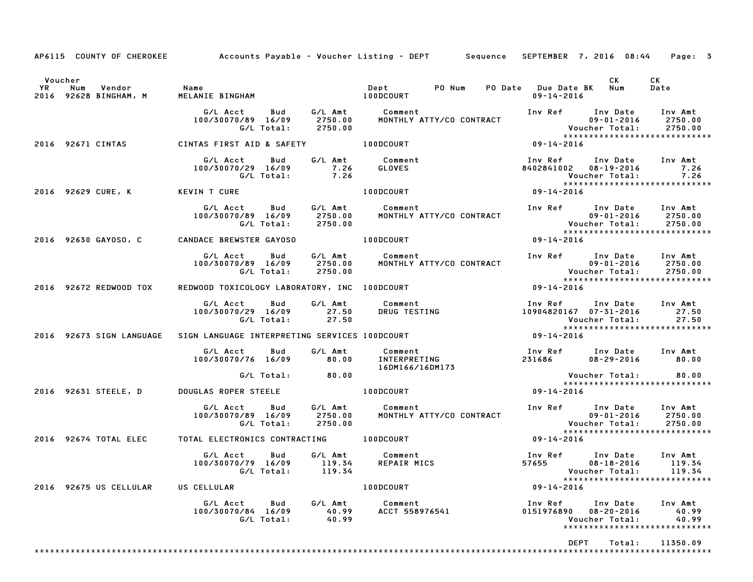|                                                                         |                                                                 |                               | AP6115 COUNTY OF CHEROKEE Accounts Payable - Voucher Listing - DEPT Sequence SEPTEMBER 7, 2016 08:44 |                                           |                                                          | Page: 3                                                        |
|-------------------------------------------------------------------------|-----------------------------------------------------------------|-------------------------------|------------------------------------------------------------------------------------------------------|-------------------------------------------|----------------------------------------------------------|----------------------------------------------------------------|
| Voucher                                                                 |                                                                 |                               |                                                                                                      |                                           | CK                                                       | CK                                                             |
| <b>YR</b><br>Num<br>Vendor<br>2016 92628 BINGHAM, M                     | Name<br>MELANIE BINGHAM                                         |                               | Dept PO Num<br><b>100DCOURT</b>                                                                      | PO Date Due Date BK Num<br>09-14-2016     |                                                          | Date                                                           |
|                                                                         | G/L Acct<br>Bud<br>100/30070/89 16/09<br>G/L Total:             | 2750.00<br>2750.00            | G/L Amt Comment<br>MONTHLY ATTY/CO CONTRACT                                                          | Inv Ref Inv Date                          | 09-01-2016<br><b>Voucher Total:</b>                      | Inv Amt<br>2750.00<br>2750.00<br>***************************** |
| 2016 92671 CINTAS                                                       | CINTAS FIRST AID & SAFETY                                       |                               | <b>100DCOURT</b>                                                                                     | 09-14-2016                                |                                                          |                                                                |
|                                                                         | G/L Acct<br>Bud<br>100/30070/29 16/09<br>G/L Total:             | 7.26<br>7.26                  | G/L Amt Comment<br><b>GLOVES</b>                                                                     | Inv Ref<br>8402841002 08-19-2016          | Inv Date<br>Voucher Total:                               | Inv Amt<br>7.26<br>7.26<br>*****************************       |
| 2016 92629 CURE, K                                                      | KEVIN T CURE                                                    |                               | 100DCOURT                                                                                            | 09-14-2016                                |                                                          |                                                                |
|                                                                         | G/L Acct<br>Bud<br>100/30070/89 16/09<br>G/L Total:             | G/L Amt<br>2750.00<br>2750.00 | Comment<br>MONTHLY ATTY/CO CONTRACT                                                                  |                                           | Inv Ref Inv Date Inv Amt<br>09-01-2016<br>Voucher Total: | 2750.00<br>2750.00<br>*****************************            |
| 2016 92630 GAYOSO, C                                                    | CANDACE BREWSTER GAYOSO                                         |                               | 100DCOURT                                                                                            | 09-14-2016                                |                                                          |                                                                |
|                                                                         | G/L Acct<br>Bud<br>100/30070/89 16/09<br>G/L Total:             | 2750.00<br>2750.00            | G/L Amt Comment<br>MONTHLY ATTY/CO CONTRACT                                                          | 09-01-2016<br>:Voucher Total              | Inv Ref Inv Date<br>09-01-2016                           | Inv Amt<br>2750.00<br>2750.00<br>***************************** |
| 2016 92672 REDWOOD TOX                                                  | REDWOOD TOXICOLOGY LABORATORY, INC 100DCOURT                    |                               |                                                                                                      | 09-14-2016                                |                                                          |                                                                |
|                                                                         | G/L Acct<br>Bud<br>100/30070/29 16/09 27.50<br>G/L Total: 27.50 | G/L Amt                       | Comment<br>DRUG TESTING                                                                              | Inv Ref<br>10904820167  07-31-2016        | Inv Date Inv Amt<br>Voucher Total:                       | 27.50<br>27.50                                                 |
| 2016 92673 SIGN LANGUAGE ASIGN LANGUAGE INTERPRETING SERVICES 100DCOURT |                                                                 |                               |                                                                                                      | 09-14-2016                                |                                                          | *****************************                                  |
|                                                                         | G/L Acct<br>Bud<br>100/30070/76 16/09                           | G/L Amt<br>80.00              | Comment<br>INTERPRETING<br>16DM166/16DM173                                                           | Inv Ref Inv Date<br>231686                | $08 - 29 - 2016$                                         | Inv Amt<br>80.00                                               |
|                                                                         | G/L Total:                                                      | 80.00                         |                                                                                                      |                                           | Voucher Total:                                           | 80.00<br>*****************************                         |
| 2016 92631 STEELE, D                                                    | DOUGLAS ROPER STEELE                                            |                               | <b>100DCOURT</b>                                                                                     | 09-14-2016                                |                                                          |                                                                |
|                                                                         | G/L Acct<br>Bud<br>100/30070/89 16/09<br>G/L Total:             | 2750.00<br>2750.00            | G/L Amt Comment<br>MONTHLY ATTY/CO CONTRACT                                                          | Inv Ref Inv Date                          | 09-01-2016<br>Voucher Total:                             | Inv Amt<br>2750.00<br>2750.00                                  |
| 2016 92674 TOTAL ELEC                                                   | TOTAL ELECTRONICS CONTRACTING 100DCOURT                         |                               |                                                                                                      | $09 - 14 - 2016$                          |                                                          | *****************************                                  |
|                                                                         | G/L Acct<br>Bud<br>100/30070/79 16/09 119.34<br>G/L Total:      | 119.34                        | G/L Amt Comment<br>REPAIR MICS                                                                       | Inv Ref<br>57655 08-18-2016 119.34        | Inv Date<br>Voucher Total: 119.34                        | Inv Amt<br>******************************                      |
| 2016 92675 US CELLULAR                                                  | US CELLULAR                                                     |                               | 100DCOURT                                                                                            | $09 - 14 - 2016$                          |                                                          |                                                                |
|                                                                         | G/L Acct Bud<br>100/30070/84 16/09<br>G/L Total:                | G/L Amt<br>40.99<br>40.99     | Comment<br>ACCT 558976541                                                                            | Inv Ref Inv Date<br>0151976890 08-20-2016 | Voucher Total:                                           | Inv Amt<br>40.99<br>40.99<br>*****************************     |
|                                                                         |                                                                 |                               |                                                                                                      | <b>DEPT</b>                               | Total:                                                   | 11350.09                                                       |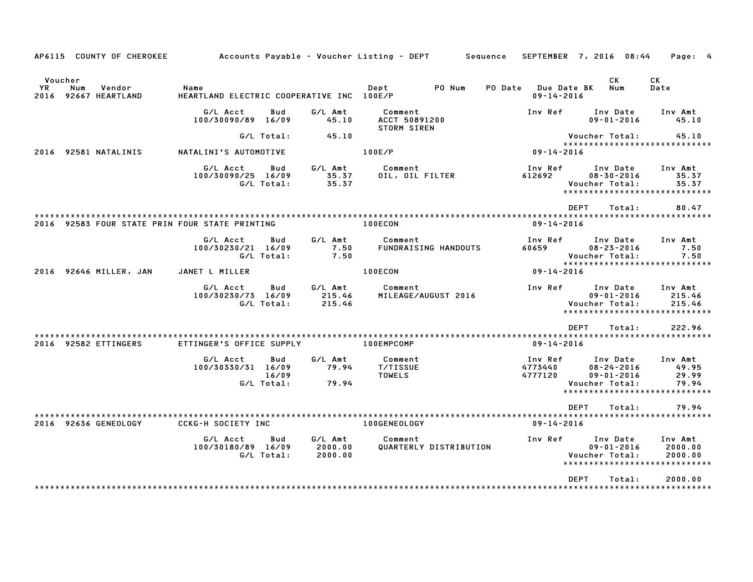| AP6115 COUNTY OF CHEROKEE                                 |                                                              |                               | Accounts Payable – Voucher Listing – DEPT         Sequence | SEPTEMBER 7, 2016 08:44                           |                                                                    | Page: 4                                                             |
|-----------------------------------------------------------|--------------------------------------------------------------|-------------------------------|------------------------------------------------------------|---------------------------------------------------|--------------------------------------------------------------------|---------------------------------------------------------------------|
| Voucher<br>YR<br>Vendor<br>Num<br>2016<br>92667 HEARTLAND | Name<br>HEARTLAND ELECTRIC COOPERATIVE INC 100E/P            |                               | Dept<br>PO Num                                             | <b>Due Date BK</b><br>PO Date<br>$09 - 14 - 2016$ | CK<br>Num                                                          | СK<br>Date                                                          |
|                                                           | G/L Acct<br>Bud<br>100/30090/89 16/09                        | G/L Amt<br>45.10              | Comment<br>ACCT 50891200<br>STORM SIREN                    | Inv Ref                                           | Inv Date<br>$09 - 01 - 2016$                                       | Inv Amt<br>45.10                                                    |
|                                                           | G/L Total:                                                   | 45.10                         |                                                            |                                                   | Voucher Total:                                                     | 45.10                                                               |
| 2016 92581 NATALINIS                                      | NATALINI'S AUTOMOTIVE                                        |                               | 100E/P                                                     | 09-14-2016                                        |                                                                    | ******************************                                      |
|                                                           | G/L Acct<br>Bud<br>100/30090/25 16/09<br>G/L Total:          | G/L Amt<br>35.37<br>35.37     | Comment<br>OIL, OIL FILTER                                 | Inv Ref<br>612692                                 | Inv Date<br>$08 - 30 - 2016$<br>Voucher Total:                     | Inv Amt<br>35.37<br>35.37<br>*****************************          |
| 2016 92583 FOUR STATE PRIN FOUR STATE PRINTING            |                                                              |                               | 100ECON                                                    | <b>DEPT</b><br>$09 - 14 - 2016$                   | Total:                                                             | 80.47                                                               |
|                                                           | G/L Acct<br>Bud<br>100/30230/21 16/09<br>G/L Total:          | G/L Amt<br>7.50<br>7.50       | Comment<br><b>FUNDRAISING HANDOUTS</b>                     | Inv Ref<br>60659                                  | Inv Date<br>$08 - 23 - 2016$<br>Voucher Total:                     | Inv Amt<br>7.50<br>7.50<br>*****************************            |
| 2016 92646 MILLER, JAN                                    | JANET L MILLER                                               |                               | 100ECON                                                    | 09-14-2016                                        |                                                                    |                                                                     |
|                                                           | G/L Acct<br>Bud<br>100/30230/73 16/09<br>G/L Total:          | G/L Amt<br>215.46<br>215.46   | Comment<br>MILEAGE/AUGUST 2016                             | Inv Ref                                           | Inv Date<br>$09 - 01 - 2016$<br>Voucher Total:                     | Inv Amt<br>215.46<br>215.46<br>*****************************        |
|                                                           |                                                              |                               |                                                            | <b>DEPT</b>                                       | Total:                                                             | 222.96                                                              |
| 2016 92582 ETTINGERS                                      | ETTINGER'S OFFICE SUPPLY                                     |                               | 100EMPCOMP                                                 | $09 - 14 - 2016$                                  |                                                                    |                                                                     |
|                                                           | G/L Acct<br>Bud<br>100/30330/31 16/09<br>16/09<br>G/L Total: | G/L Amt<br>79.94<br>79.94     | Comment<br><b>T/TISSUE</b><br>TOWELS                       | Inv Ref<br>4773440<br>4777120                     | Inv Date<br>$08 - 24 - 2016$<br>$09 - 01 - 2016$<br>Voucher Total: | Inv Amt<br>49.95<br>29.99<br>79.94<br>***************************** |
|                                                           |                                                              |                               |                                                            | <b>DEPT</b>                                       | Total:                                                             | 79.94                                                               |
| 2016 92636 GENEOLOGY                                      | <b>CCKG-H SOCIETY INC</b>                                    |                               | 100GENEOLOGY                                               | $09 - 14 - 2016$                                  |                                                                    |                                                                     |
|                                                           | G/L Acct<br>Bud<br>100/30180/89 16/09<br>G/L Total:          | G/L Amt<br>2000.00<br>2000.00 | Comment<br>QUARTERLY DISTRIBUTION                          | Inv Ref                                           | Inv Date<br>$09 - 01 - 2016$<br>Voucher Total:                     | Inv Amt<br>2000.00<br>2000.00<br>*****************************      |
|                                                           |                                                              |                               |                                                            | <b>DEPT</b>                                       | Total:                                                             | 2000.00                                                             |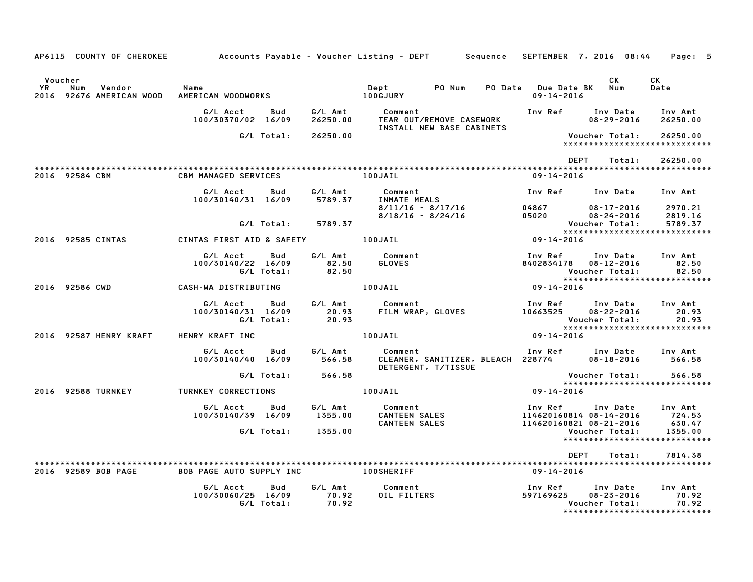| AP6115 COUNTY OF CHEROKEE                                  |                                                            |                           | Accounts Payable – Voucher Listing – DEPT         Sequence   SEPTEMBER  7, 2016  08:44 |                                                                   | Page: 5                                                              |  |
|------------------------------------------------------------|------------------------------------------------------------|---------------------------|----------------------------------------------------------------------------------------|-------------------------------------------------------------------|----------------------------------------------------------------------|--|
| Voucher<br>YR<br>Num<br>Vendor<br>2016 92676 AMERICAN WOOD | Name<br>AMERICAN WOODWORKS 100GJURY                        |                           | Dept<br>PO Num                                                                         | PO Date Due Date BK Num<br>$09 - 14 - 2016$                       | <b>CK</b><br>CK.<br>Date                                             |  |
|                                                            | G/L Acct<br>Bud<br>100/30370/02 16/09                      | G/L Amt<br>26250.00       | Comment<br>TEAR OUT/REMOVE CASEWORK                                                    |                                                                   | Inv Ref      Inv Date     Inv Amt<br>$08 - 29 - 2016$<br>26250.00    |  |
|                                                            | G/L Total:                                                 | 26250.00                  | INSTALL NEW BASE CABINETS                                                              | Voucher Total:                                                    | 26250.00<br>*****************************                            |  |
|                                                            |                                                            |                           |                                                                                        | <b>DEPT</b>                                                       | 26250.00<br>Total:                                                   |  |
| 2016 92584 CBM                                             | <b>CBM MANAGED SERVICES</b>                                |                           | 100JAIL                                                                                | 09-14-2016                                                        |                                                                      |  |
|                                                            | G/L Acct<br>Bud<br>100/30140/31 16/09                      | G/L Amt<br>5789.37        | Comment<br>INMATE MEALS                                                                | Inv Ref      Inv Date                                             | Inv Amt                                                              |  |
|                                                            | G/L Total:                                                 | 5789.37                   | 8/11/16 - 8/17/16<br>8/18/16 - 8/24/16                                                 | 04867 08-17-2016<br>05020<br>Voucher Total:                       | 2970.21<br>$08 - 24 - 2016$<br>2819.16<br>5789.37                    |  |
| 2016 92585 CINTAS                                          | CINTAS FIRST AID & SAFETY 100JAIL                          |                           |                                                                                        | $09 - 14 - 2016$                                                  | *****************************                                        |  |
|                                                            |                                                            |                           |                                                                                        |                                                                   |                                                                      |  |
|                                                            | G/L Acct<br>Bud<br>100/30140/22 16/09<br>G/L Total:        | 82.50<br>82.50            | G/L Amt Comment<br>GLOVES                                                              | Inv Ref      Inv Date<br>8402834178  08-12-2016<br>Voucher Total: | Inv Amt<br>82.50<br>82.50                                            |  |
| 2016 92586 CWD                                             | CASH-WA DISTRIBUTING                                       |                           | 100JAIL                                                                                | $09 - 14 - 2016$                                                  |                                                                      |  |
|                                                            | <b>Bud</b><br>G/L Acct<br>100/30140/31 16/09<br>G/L Total: | G/L Amt<br>20.93<br>20.93 | Comment<br>FILM WRAP, GLOVES 10663525 08-22-2016                                       | Inv Ref Inv Date<br>Voucher Total:                                | Inv Amt<br>20.93<br>20.93                                            |  |
| 2016 92587 HENRY KRAFT                                     | HENRY KRAFT INC                                            |                           | 100JAIL                                                                                | 09-14-2016                                                        |                                                                      |  |
|                                                            | G/L Acct<br>Bud<br>100/30140/40 16/09                      | 566.58                    | G/L Amt Comment<br>CLEANER, SANITIZER, BLEACH 228774<br>DETERGENT, T/TISSUE            | Inv Ref Inv Date                                                  | Inv Amt<br>566.58<br>08-18-2016                                      |  |
|                                                            | G/L Total:                                                 | 566.58                    |                                                                                        |                                                                   | 566.58<br>Voucher Total:                                             |  |
| 2016 92588 TURNKEY                                         | <b>TURNKEY CORRECTIONS</b>                                 |                           | 100JAIL                                                                                | 09-14-2016                                                        | *****************************                                        |  |
|                                                            | G/L Acct<br>Bud<br>100/30140/39 16/09                      | 1355.00                   | G/L Amt         Comment<br>1355.00      CANTEEN SALES                                  | Inv Ref Inv Date                                                  | Inv Amt<br>114620160814 08-14-2016 724.53                            |  |
|                                                            | G/L Total: 1355.00                                         |                           | CANTEEN SALES                                                                          | 114620160821 08-21-2016                                           | 630.47<br>Voucher Total:<br>1355.00<br>***************************** |  |
|                                                            |                                                            |                           |                                                                                        | DEPT                                                              | 7814.38<br>Total:                                                    |  |
| 2016 92589 BOB PAGE                                        | BOB PAGE AUTO SUPPLY INC                                   |                           | <b>100SHERIFF</b>                                                                      | 09-14-2016                                                        |                                                                      |  |
|                                                            | G/L Acct<br>Bud<br>100/30060/25 16/09<br>G/L Total:        | G/L Amt<br>70.92<br>70.92 | Comment<br>OIL FILTERS                                                                 | Inv Ref Inv Date<br>597169625                                     | Inv Amt<br>$08 - 23 - 2016$<br>70.92<br>70.92<br>Voucher Total:      |  |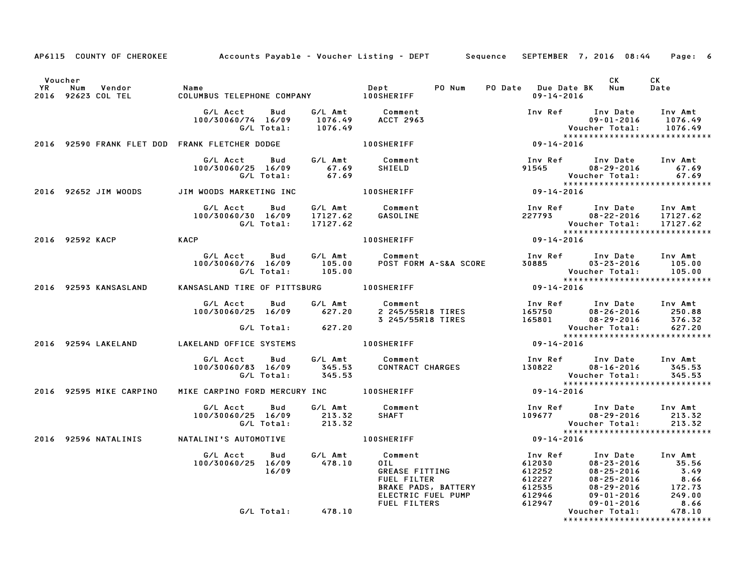|                                                     | AP6115 COUNTY OF CHEROKEE Accounts Payable - Voucher Listing - DEPT Sequence SEPTEMBER 7, 2016 08:44 Page: 6                                                                                                                                                                     |        |                                                                                                                                                                                                                                                                                                                     |                                                                                                             |                                                                                                                               |       |
|-----------------------------------------------------|----------------------------------------------------------------------------------------------------------------------------------------------------------------------------------------------------------------------------------------------------------------------------------|--------|---------------------------------------------------------------------------------------------------------------------------------------------------------------------------------------------------------------------------------------------------------------------------------------------------------------------|-------------------------------------------------------------------------------------------------------------|-------------------------------------------------------------------------------------------------------------------------------|-------|
| Voucher                                             |                                                                                                                                                                                                                                                                                  |        |                                                                                                                                                                                                                                                                                                                     |                                                                                                             | CK                                                                                                                            | CK    |
| YR Num Vendor - Name<br>2016 92623 COL TEL - COLUMI | COLUMBUS TELEPHONE COMPANY 100SHERIFF                                                                                                                                                                                                                                            |        | Dept PO Num PO Date Due Date BK Num                                                                                                                                                                                                                                                                                 | $09 - 14 - 2016$                                                                                            |                                                                                                                               | Date  |
|                                                     | G/L Acct  Bud  G/L Amt  Comment<br>100/30060/74 16/09  1076.49  ACCT  2963<br>G/L Total:  1076.49<br>100/30060/74 16/09 1076.49 ACCT 2963<br>G/L Total: 1076.49<br>2016 92590 FRANK FLET DOD FRANK FLETCHER DODGE 100SHERIFF 100SHERIFF 2016 92590 FRANK FLET DOD FRANK FLETCHER |        |                                                                                                                                                                                                                                                                                                                     | Inv Ref Inv Date Inv Amt<br>09-01-2016 1076.49<br>Voucher Total: 1076.49<br>******************************* |                                                                                                                               |       |
|                                                     |                                                                                                                                                                                                                                                                                  |        |                                                                                                                                                                                                                                                                                                                     |                                                                                                             |                                                                                                                               |       |
|                                                     | G/L Acct Bud G/L Amt Comment<br>100/30060/25 16/09 67.69 SHIELD<br>G/L Total: 67.69                                                                                                                                                                                              |        |                                                                                                                                                                                                                                                                                                                     |                                                                                                             | Inv Ref Inv Date Inv Amt<br>91545 08-29-2016 67.69<br>Voucher Total:<br>Voucher Total: 67.67<br>***************************** | 67.69 |
| 2016 92652 JIM WOODS                                | JIM WOODS MARKETING INC <b>100SHERIFF</b>                                                                                                                                                                                                                                        |        |                                                                                                                                                                                                                                                                                                                     | $09 - 14 - 2016$                                                                                            |                                                                                                                               |       |
|                                                     | G/L Acct   Bud   G/L Amt<br>100/30060/30 16/09 17127.62<br>G/L Total: 17127.62                                                                                                                                                                                                   |        | Comment<br>GASOLINE                                                                                                                                                                                                                                                                                                 | 100 Ref Inv Date Inv Amt<br>227793 08-22-2016 17127.62                                                      | Voucher Total: 17127.62<br>********************************                                                                   |       |
| 2016 92592 KACP KACP                                |                                                                                                                                                                                                                                                                                  |        | 100SHERIFF                                                                                                                                                                                                                                                                                                          |                                                                                                             |                                                                                                                               |       |
|                                                     | 6/L Acct Bud 6/L Amt Comment Inv Ref Inv Date Inv Amt<br>100/30060/76 16/09 105.00 POST FORM A-S&A SCORE 30885 03-23-2016 105.00<br>6/L Total: 105.00 105.00 Voucher Total: 105.00<br>KANSASLAND TIRE OF PITTSBURG 100SHERIFF 09-14-201                                          |        |                                                                                                                                                                                                                                                                                                                     |                                                                                                             |                                                                                                                               |       |
| 2016 92593 KANSASLAND                               |                                                                                                                                                                                                                                                                                  |        |                                                                                                                                                                                                                                                                                                                     |                                                                                                             |                                                                                                                               |       |
|                                                     |                                                                                                                                                                                                                                                                                  |        | G/L Acct Bud G/L Amt Comment Inv Ref Inv Date Inv Amt<br>100/30060/25 16/09 627.20 2 245/55R18 TIRES 165750 08-26-2016 250.88<br>3 245/55R18 TIRES 165801 08-29-2016 376.32<br>G/L Total: 627.20 70ucher Total: 627.20                                                                                              |                                                                                                             |                                                                                                                               |       |
|                                                     |                                                                                                                                                                                                                                                                                  |        |                                                                                                                                                                                                                                                                                                                     |                                                                                                             | ******************************                                                                                                |       |
| 2016 92594 LAKELAND                                 | LAKELAND OFFICE SYSTEMS                                                                                                                                                                                                                                                          |        | 100SHERIFF 09-14-2016                                                                                                                                                                                                                                                                                               |                                                                                                             |                                                                                                                               |       |
|                                                     |                                                                                                                                                                                                                                                                                  |        | G/L Acct Bud G/L Amt Comment Inv Ref Inv Date Inv Amt<br>100/30060/83 16/09 345.53 CONTRACT CHARGES 130822 08–16–2016 345.53<br>G/L Total: 345.53 CONTRACT CHARGES 130822 Voucher Total: 345.53                                                                                                                     |                                                                                                             |                                                                                                                               |       |
| 2016 92595 MIKE CARPINO                             | MIKE CARPINO FORD MERCURY INC 100SHERIFF                                                                                                                                                                                                                                         |        |                                                                                                                                                                                                                                                                                                                     | $09 - 14 - 2016$                                                                                            |                                                                                                                               |       |
|                                                     | G/L Acct Bud G/L Amt Comment<br>100/30060/25 16/09 213.32<br>G/L Total: 213.32                                                                                                                                                                                                   |        | <b>SHAFT</b>                                                                                                                                                                                                                                                                                                        | 109677 108-29-2016 Inv Amt<br>109677 108-29-2016 213.32<br>Mouse Tatal                                      | ******************************                                                                                                |       |
|                                                     |                                                                                                                                                                                                                                                                                  |        |                                                                                                                                                                                                                                                                                                                     |                                                                                                             |                                                                                                                               |       |
|                                                     | G/L Acct   Bud<br>100/30060/25 16/09<br>16/09                                                                                                                                                                                                                                    | 478.10 | G/L Amt Comment<br>478.10 OIL<br>011<br>011<br>011<br>012<br>08-23-2016<br>612030<br>612030<br>08-23-2016<br>55.56<br>612252<br>08-25-2016<br>5.49<br>7.49<br>61227<br>08-25-2016<br>08-25-2016<br>08-25-2016<br>8.66<br>8.66<br>8.66<br>8.66<br>8.66<br>DRAKE PADS, BATTERY<br>612946<br>09-01-2016<br>249.00<br>F |                                                                                                             |                                                                                                                               |       |
|                                                     | G/L Total: 478.10                                                                                                                                                                                                                                                                |        |                                                                                                                                                                                                                                                                                                                     |                                                                                                             | *****************************                                                                                                 |       |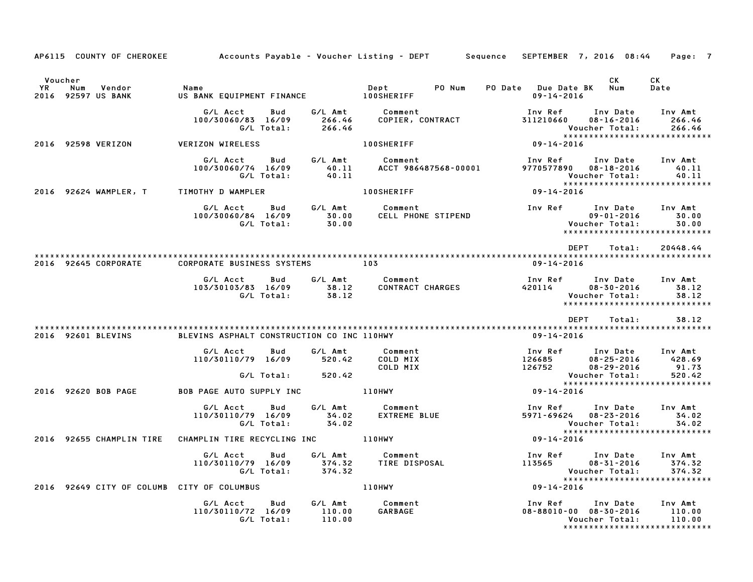|                                                              |                                                                 |                             |                                                                                                       | AP6115 COUNTY OF CHEROKEE 6 Accounts Payable - Voucher Listing - DEPT 5 Sequence SEPTEMBER 7, 2016 08:44 Page: 7            |                             |
|--------------------------------------------------------------|-----------------------------------------------------------------|-----------------------------|-------------------------------------------------------------------------------------------------------|-----------------------------------------------------------------------------------------------------------------------------|-----------------------------|
| Voucher<br>YR<br>Num<br>Vendor<br>2016 92597 US BANK         | Name<br>US BANK EQUIPMENT FINANCE 100SHERIFF                    |                             | Dept<br>PO Num                                                                                        | <b>CK</b><br>CK .<br>PO Date Due Date BK Num<br>Date<br>09-14-2016                                                          |                             |
|                                                              | G/L Acct<br>Bud<br>100/30060/83 16/09<br>G/L Total:             | 266.46                      | G/L Amt         Comment<br>266.46      COPIER, C<br>COMMENT<br>COPIER, CONTRACT                       | Inv Ref      Inv Date     Inv Amt<br>311210660 08-16-2016<br>Voucher Total:                                                 | 266.46<br>266.46            |
| 2016 92598 VERIZON                                           | VERIZON WIRELESS                                                |                             | <b>100SHERIFF</b>                                                                                     | $09 - 14 - 2016$                                                                                                            |                             |
|                                                              | G/L Acct<br>Bud<br>100/30060/74 16/09<br>G/L Total:             |                             |                                                                                                       | Inv Ref      Inv Date     Inv Amt                                                                                           | 40.11<br>40.11              |
| 2016 92624 WAMPLER, T TIMOTHY D WAMPLER                      |                                                                 |                             | <b>100SHERIFF</b>                                                                                     | $09 - 14 - 2016$                                                                                                            |                             |
|                                                              |                                                                 |                             | G/L Acct  Bud  G/L Amt  Comment<br>100/30060/84 16/09  30.00  CELL PHONE STIPEND<br>G/L Total:  30.00 | Inv Ref Inv Date<br>09-01-2016<br>Voucher Total:<br>*****************************                                           | Inv Amt<br>30.00<br>30.00   |
|                                                              |                                                                 |                             |                                                                                                       | DEPT<br>Total:                                                                                                              | 20448.44                    |
| 2016 92645 CORPORATE                                         | CORPORATE BUSINESS SYSTEMS 103                                  |                             |                                                                                                       | 09-14-2016                                                                                                                  |                             |
|                                                              | G/L Acct<br>Bud<br>103/30103/83 16/09 38.12<br>G/L Total: 38.12 |                             | G/L Amt Comment                                                                                       | Voucher Total:<br>*****************************                                                                             | 38.12                       |
|                                                              |                                                                 |                             |                                                                                                       | DEPT<br>Total:                                                                                                              | 38.12                       |
| 2016 92601 BLEVINS                                           | BLEVINS ASPHALT CONSTRUCTION CO INC 110HWY                      |                             |                                                                                                       | 09-14-2016                                                                                                                  |                             |
|                                                              | G/L Acct<br>Bud<br>110/30110/79 16/09<br>G/L Total:             | G/L Amt<br>520.42<br>520.42 | Comment<br>COLD MIX<br>COLD MIX                                                                       | Inv Ref      Inv Date     Inv Amt<br>100 Ref 100 Date<br>126685 08-25-2016<br>126752 08-29-2016<br>428.69<br>Voucher Total: | 91.73<br>520.42             |
| 2016 92620 BOB PAGE BOB PAGE AUTO SUPPLY INC 110HWY          |                                                                 |                             |                                                                                                       | ******************************<br>$09 - 14 - 2016$                                                                          |                             |
|                                                              | G/L Acct<br>Bud<br>110/30110/79 16/09<br>G/L Total:             | G/L Amt<br>34.02<br>34.02   | Comment<br>Comment<br>EXTREME BLUE                                                                    | Inv Ref      Inv Date     Inv Amt<br>5971-69624 08-23-2016<br>Voucher Total:                                                | 34.02<br>34.02              |
| 2016 92655 CHAMPLIN TIRE CHAMPLIN TIRE RECYCLING INC 4110HWY |                                                                 |                             |                                                                                                       | $09 - 14 - 2016$                                                                                                            |                             |
|                                                              | G/L Acct<br>Bud<br>110/30110/79 16/09<br>G/L Total:             | 374.32                      |                                                                                                       | Voucher Total:<br>*****************************                                                                             | Inv Amt<br>374.32<br>374.32 |
| 2016 92649 CITY OF COLUMB CITY OF COLUMBUS                   |                                                                 |                             | 110HWY                                                                                                | $09 - 14 - 2016$                                                                                                            |                             |
|                                                              | G/L Acct<br>Bud<br>110/30110/72 16/09<br>G/L Total:             | G/L Amt<br>110.00<br>110.00 | Comment<br>GARBAGE                                                                                    | Inv Ref      Inv Date<br>08-88010-00 08-30-2016<br>Voucher Total:<br>*****************************                          | Inv Amt<br>110.00<br>110.00 |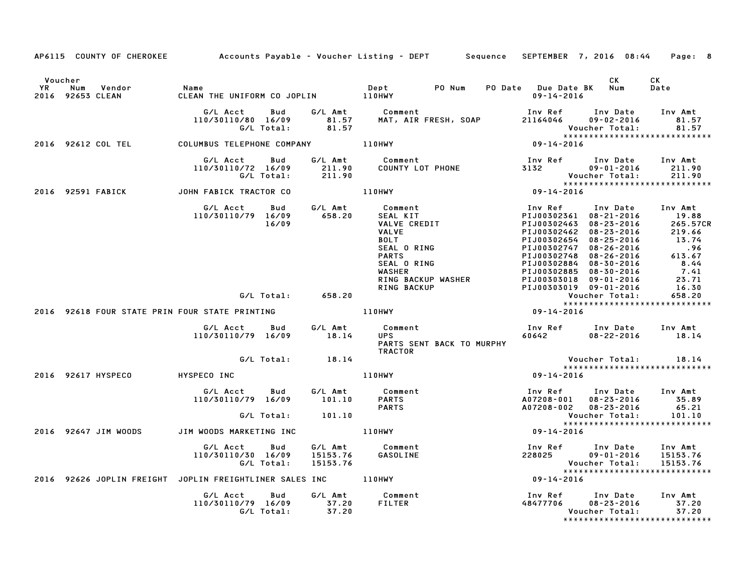|                      |                                |                                                                                         |                      | AP6115 COUNTY OF CHEROKEE Accounts Payable - Voucher Listing - DEPT Sequence SEPTEMBER 7, 2016 08:44                                                                                    |                                                                                                                                                                                                                                                                                                                                                                 |                                                     | Page: 8                                         |
|----------------------|--------------------------------|-----------------------------------------------------------------------------------------|----------------------|-----------------------------------------------------------------------------------------------------------------------------------------------------------------------------------------|-----------------------------------------------------------------------------------------------------------------------------------------------------------------------------------------------------------------------------------------------------------------------------------------------------------------------------------------------------------------|-----------------------------------------------------|-------------------------------------------------|
| Voucher<br><b>YR</b> | Num<br>Vendor                  | Name<br>YR Num Vendor – Name<br>2016 92653 CLEAN – CLEAN THE UNIFORM CO JOPLIN – 110HWY |                      | Dept PO Num                                                                                                                                                                             | PO Date Due Date BK Num<br>$09 - 14 - 2016$                                                                                                                                                                                                                                                                                                                     | CK                                                  | CK<br>Date                                      |
|                      |                                | 110/30110/80 16/09<br>G/L Total:                                                        | 81.57                | G/L Acct Bud G/L Amt Comment 1nv Ref Inv Date<br>110/30110/80 16/09 81.57 MAT, AIR FRESH, SOAP 21164046 09-02-2016                                                                      | Voucher Total: 81.57<br>********************************<br>09-14-2016                                                                                                                                                                                                                                                                                          |                                                     | Inv Amt<br>81.57                                |
|                      |                                | 2016 92612 COL TEL COLUMBUS TELEPHONE COMPANY 110HWY                                    |                      |                                                                                                                                                                                         |                                                                                                                                                                                                                                                                                                                                                                 |                                                     |                                                 |
|                      |                                | G/L Acct<br>Bud<br>110/30110/72 16/09<br>G/L Total:                                     |                      | G/L Amt Comment Inv Ref Inv Date Inv Amt<br>211.90 COUNTY LOT PHONE 3132 09-01-2016 211.90<br>211.90 Voucher Total: 211.90<br>110HWY 19-14-2016 99-14-2016                              |                                                                                                                                                                                                                                                                                                                                                                 |                                                     |                                                 |
|                      |                                | 2016 92591 FABICK JOHN FABICK TRACTOR CO                                                |                      |                                                                                                                                                                                         |                                                                                                                                                                                                                                                                                                                                                                 |                                                     |                                                 |
|                      |                                | G/L Acct   Bud   G/L Amt<br>110/30110/79 16/09 658.20<br>16/09                          |                      | <b>Comment<br/>SEAL KIT<br/>VALVE CREDIT<br/>VALVE<br/>BOLT<br/>SEAL O RING<br/>PARTS<br/>SEAL O RING<br/>WASHER<br/>RING BACKUP WASHER</b><br>Comment                                  | Inv Ref      Inv Date     Inv Amt<br>PIJ00302361 08-21-2016<br>PIJ00302463 08-23-2016<br>PIJ00302462 08-23-2016 205.57<br>PIJ00302654 08-23-2016 219.66<br>PIJ00302654 08-25-2016 .96<br>PIJ00302747 08-26-2016 .96<br>PIJ00302748 08-26-2016 613.67<br>PIJ00302885 08-30-2016 7.41<br>PIJ00303019 09-01-2016 23.71<br>PIJ00303019 09<br>PIJ00303019 09-01-2016 |                                                     | 19.88<br>265.57CR<br>16.30                      |
|                      |                                | G/L Total: 658.20                                                                       |                      |                                                                                                                                                                                         |                                                                                                                                                                                                                                                                                                                                                                 |                                                     |                                                 |
|                      |                                | 2016 92618 FOUR STATE PRIN FOUR STATE PRINTING 110HWY                                   |                      |                                                                                                                                                                                         | Voucher Total: 658.20<br>********************************<br>09-14-2016                                                                                                                                                                                                                                                                                         |                                                     |                                                 |
|                      |                                | 110/30110/79 16/09 18.14                                                                |                      | $G/L$ Acct Bud $G/L$ Amt Comment<br>10/30110/79 16/09 18 14 UPS<br><b>UPS</b><br>PARTS SENT BACK TO MURPHY<br>TRACTOR                                                                   | Inv Ref      Inv Date    Inv Amt<br>60642         08–22–2016        18.14                                                                                                                                                                                                                                                                                       |                                                     |                                                 |
|                      |                                | G/L Total: 18.14                                                                        |                      |                                                                                                                                                                                         |                                                                                                                                                                                                                                                                                                                                                                 | Voucher Total: 18.14<br>*************************** | *****************************                   |
|                      | 2016 92617 HYSPECO HYSPECO INC |                                                                                         |                      | 110HWY                                                                                                                                                                                  | Voue<br>* * * * *<br>09-14-2016                                                                                                                                                                                                                                                                                                                                 |                                                     |                                                 |
|                      |                                |                                                                                         |                      | G/L Acct Bud G/L Amt Comment Investor (10/30110/79 16/09 101.10<br>G/L Total: 101.10 PARTS A07208-001<br>G/L Total: 101.10 PARTS A07208-002<br>M WOODS MARKETING INC 110HWY 199-14-2016 | Inv Ref Inv Date Inv Amt<br>$A07208 - 001$ $08 - 23 - 2016$ $35.89$<br>A07208-002 08-23-2016                                                                                                                                                                                                                                                                    |                                                     | 65.21                                           |
|                      |                                |                                                                                         |                      |                                                                                                                                                                                         |                                                                                                                                                                                                                                                                                                                                                                 |                                                     |                                                 |
|                      | 2016 92647 JIM WOODS           | JIM WOODS MARKETING INC                                                                 |                      |                                                                                                                                                                                         |                                                                                                                                                                                                                                                                                                                                                                 |                                                     |                                                 |
|                      |                                | G/L Acct Bud<br>110/30110/30 16/09<br>G/L Total:                                        | 15153.76<br>15153.76 | G/L Amt Comment<br>GASOLINE                                                                                                                                                             | Inv Ref       Inv Date     Inv Amt<br>228025         09-01-2016     15153.76                                                                                                                                                                                                                                                                                    | Voucher Total:                                      |                                                 |
|                      |                                | 2016 92626 JOPLIN FREIGHT JOPLIN FREIGHTLINER SALES INC 110HWY                          |                      |                                                                                                                                                                                         | Voucher Total: 15153.76<br>******************************<br>09-14-2016                                                                                                                                                                                                                                                                                         |                                                     |                                                 |
|                      |                                | G/L Acct Bud G/L Amt Comment<br>110/30110/79 16/09 37.20<br>G/L Total: 37.20            |                      | FILTER                                                                                                                                                                                  | Inv Ref      Inv Date    Inv Amt<br>48477706      08–23–2016         37.20                                                                                                                                                                                                                                                                                      | Voucher Total:                                      | 37.20<br>37.20<br>***************************** |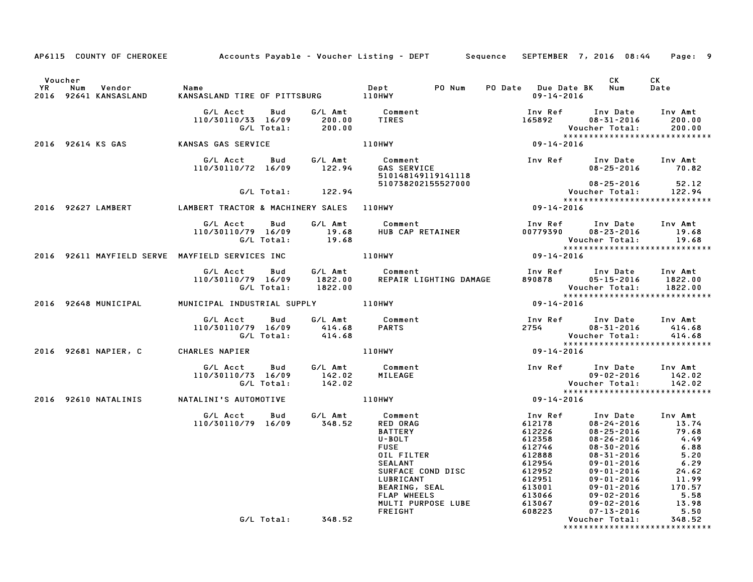|           |                                                        | AP6115 COUNTY OF CHEROKEE Accounts Payable - Voucher Listing - DEPT Sequence SEPTEMBER 7, 2016 08:44 |             |                                                                                                                                            |                              |                                                                                                                                           |                                                                                                                                                                                                                                | Page: 9                                                                                                        |
|-----------|--------------------------------------------------------|------------------------------------------------------------------------------------------------------|-------------|--------------------------------------------------------------------------------------------------------------------------------------------|------------------------------|-------------------------------------------------------------------------------------------------------------------------------------------|--------------------------------------------------------------------------------------------------------------------------------------------------------------------------------------------------------------------------------|----------------------------------------------------------------------------------------------------------------|
| <b>YR</b> | Voucher<br>Vendor Name<br>Num<br>2016 92641 KANSASLAND |                                                                                                      |             |                                                                                                                                            |                              | PO Date Due Date BK Num<br>09-14-2016                                                                                                     | CK                                                                                                                                                                                                                             | <b>CK</b><br>Date                                                                                              |
|           |                                                        | G/L Acct  Bud  G/L Amt  Comment<br>110/30110/33 16/09  200.00  TIRES<br>G/L Total:  200.00           |             |                                                                                                                                            |                              | Inv Ref<br>105892                                                                                                                         | Inv Date Inv Amt<br>$08 - 31 - 2016$                                                                                                                                                                                           | 200.00                                                                                                         |
|           |                                                        | 2016 92614 KS GAS             KANSAS GAS SERVICE                                                     |             |                                                                                                                                            |                              |                                                                                                                                           |                                                                                                                                                                                                                                |                                                                                                                |
|           |                                                        | G/L Acct<br>110/30110/72 16/09 122.94                                                                | Bud G/L Amt |                                                                                                                                            |                              |                                                                                                                                           | $08 - 25 - 2016$ 70.82                                                                                                                                                                                                         |                                                                                                                |
|           |                                                        | G/L Total: 122.94                                                                                    |             |                                                                                                                                            |                              |                                                                                                                                           | 08-25-2016 52.12<br>Voucher Total: 122.94                                                                                                                                                                                      |                                                                                                                |
|           |                                                        | 2016 92627 LAMBERT   LAMBERT TRACTOR & MACHINERY SALES   110HWY                                      |             |                                                                                                                                            |                              |                                                                                                                                           | *****************************                                                                                                                                                                                                  |                                                                                                                |
|           |                                                        | G/L Acct<br>Bud<br>110/30110/79 16/09 19.68<br>G/L Total: 19.68                                      | G/L Amt     | Comment Inv Ref Inv Date Inv Amt<br>HUB CAP RETAINER 00779390 08-23-2016 19.68<br>Voucher Total: 19.68<br>TIOHWY 09-14-2016                |                              |                                                                                                                                           |                                                                                                                                                                                                                                | 19.68<br>19.68                                                                                                 |
|           |                                                        | 2016 92611 MAYFIELD SERVE MAYFIELD SERVICES INC <b>110HWY</b>                                        |             |                                                                                                                                            |                              |                                                                                                                                           | ******************************                                                                                                                                                                                                 |                                                                                                                |
|           |                                                        | G/L Acct  Bud  G/L Amt  Comment<br>110/30110/79  16/09  1822.00  REPAIR LIG<br>G/L Total: 1822.00    |             |                                                                                                                                            |                              |                                                                                                                                           | Voucher Total:                                                                                                                                                                                                                 | 1822.00                                                                                                        |
|           |                                                        | 2016 92648 MUNICIPAL MUNICIPAL INDUSTRIAL SUPPLY 110HWY                                              |             |                                                                                                                                            |                              |                                                                                                                                           | Voucher Total: 1822.00<br>******************************<br>09-14-2016                                                                                                                                                         |                                                                                                                |
|           |                                                        | J. Acct Bud G/L Amt Comment<br>110/30110/79 16/09 414.68 PARTS<br>G/L Total: 414.68                  |             |                                                                                                                                            |                              | 2754                                                                                                                                      | Inv Ref      Inv Date     Inv Amt<br>$08 - 31 - 2016$                                                                                                                                                                          | 414.68                                                                                                         |
|           | 2016 92681 NAPIER, C                                   | CHARLES NAPIER                                                                                       |             | 110HWY                                                                                                                                     |                              |                                                                                                                                           |                                                                                                                                                                                                                                |                                                                                                                |
|           |                                                        | G/L Acct  Bud  G/L Amt  Comment<br>110/30110/73 16/09  142.02  MILEAGE<br>G/L Total:                 | 142.02      |                                                                                                                                            | Inv Ref Inv Date             |                                                                                                                                           | $09 - 02 - 2016$<br>Voucher Total:<br>******************************                                                                                                                                                           | Inv Amt<br>142.02<br>142.02                                                                                    |
|           |                                                        | 2016 92610 NATALINIS NATALINI'S AUTOMOTIVE                                                           |             | 110HWY                                                                                                                                     |                              | $09 - 14 - 2016$                                                                                                                          |                                                                                                                                                                                                                                |                                                                                                                |
|           |                                                        | G/L Acct  Bud  G/L Amt  Comment<br>110/30110/79  16/09  348.52  RED ORAG                             |             | <b>BATTERY</b><br>U-BOLT<br><b>FUSE</b><br>OIL FILTER<br><b>SEALANT</b><br>SURFACE COND DISC<br>LUBRICANT<br>MULTI PURPOSE LUBE<br>FREIGHT | BEARING, SEAL<br>FLAP WHEELS | Inv Ref<br>612178<br>612178<br>612226<br>612358<br>612746<br>612888<br>612954<br>612952<br>612951<br>613001<br>613066<br>613067<br>608223 | Inv Date<br>$08 - 24 - 2016$<br>$\begin{array}{r} 24216 \\ 08-26-2016 \\ 08-26-2016 \\ 08-30-2016 \\ 08-31-2016 \\ 09-01-2016 \\ 09-01-2016 \\ 09-01-2016 \\ 09-01-2016 \\ 09-02-2016 \\ 09-02-2016 \\ 07-13-2016 \end{array}$ | Inv Amt<br>13.74<br>79.68<br>4.49<br>6.88<br>5.20<br>6.29<br>24.62<br>11.99<br>170.57<br>5.58<br>13.98<br>5.50 |
|           |                                                        | G/L Total: 348.52                                                                                    |             |                                                                                                                                            |                              |                                                                                                                                           | Voucher Total:                                                                                                                                                                                                                 | 348.52                                                                                                         |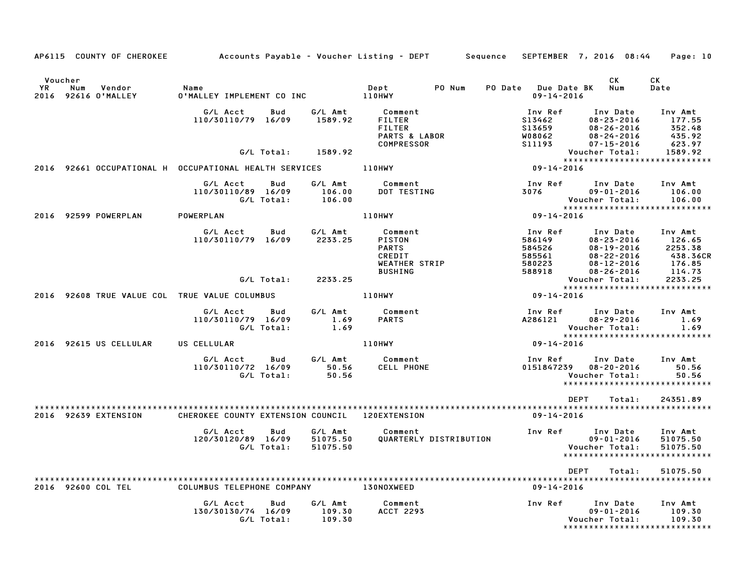|                   | AP6115 COUNTY OF CHEROKEE                  |                                                               |                   |                                    | Accounts Payable – Voucher Listing – DEPT         Sequence   SEPTEMBER  7, 2016  08:44 |                                                           |                                                                                          | Page: 10                                                          |
|-------------------|--------------------------------------------|---------------------------------------------------------------|-------------------|------------------------------------|----------------------------------------------------------------------------------------|-----------------------------------------------------------|------------------------------------------------------------------------------------------|-------------------------------------------------------------------|
| <b>YR</b><br>2016 | Voucher<br>Num<br>Vendor<br>92616 O'MALLEY | Name<br>0'MALLEY IMPLEMENT CO INC 110HWY                      |                   |                                    | PO Num<br>Dept                                                                         | PO Date Due Date BK Num<br>$09 - 14 - 2016$               | CK                                                                                       | <b>CK</b><br>Date                                                 |
|                   |                                            | G/L Acct<br>110/30110/79 16/09                                | Bud               | G/L Amt<br>1589.92                 | Comment<br>FILTER<br><b>FILTER</b><br>PARTS & LABOR<br>COMPRESSOR                      | Inv Ref<br>S13462<br>S13659<br>W08062<br>S11193           | Inv Date<br>$08 - 23 - 2016$<br>$08 - 26 - 2016$<br>$08 - 24 - 2016$<br>$07 - 15 - 2016$ | Inv Amt<br>177.55<br>352.48<br>435.92<br>623.97                   |
|                   |                                            |                                                               | G/L Total:        | 1589.92                            |                                                                                        |                                                           | Voucher Total:                                                                           | 1589.92<br>*****************************                          |
|                   |                                            | 2016 92661 OCCUPATIONAL H OCCUPATIONAL HEALTH SERVICES 110HWY |                   |                                    |                                                                                        | $09 - 14 - 2016$                                          |                                                                                          |                                                                   |
|                   |                                            | G/L Acct<br>110/30110/89 16/09<br>G/L Total:                  | Bud               | G/L Amt<br>106.00<br>106.00        | Comment<br>DOT TESTING                                                                 | Inv Ref<br>3076 70                                        | Inv Date<br>09-01-2016<br>Voucher Total:                                                 | Inv Amt<br>106.00<br>106.00                                       |
|                   | 2016 92599 POWERPLAN                       | POWERPLAN                                                     |                   |                                    | 110HWY                                                                                 | $09 - 14 - 2016$                                          |                                                                                          |                                                                   |
|                   |                                            | G/L Acct<br>110/30110/79 16/09                                | Bud               | G/L Amt<br>2233.25                 | Comment<br>PISTON<br><b>PARTS</b><br>CREDIT<br>WEATHER STRIP<br><b>BUSHING</b>         | Inv Ref<br>586149<br>584526<br>585561<br>580223<br>588918 | Inv Date<br>08-23-2016<br>$08 - 19 - 2016$<br>08-22-2016<br>08-12-2016                   | Inv Amt<br>126.65<br>2253.38<br>438.36CR<br>176.85<br>114.73      |
|                   |                                            |                                                               | G/L Total:        | 2233.25                            |                                                                                        |                                                           | $08 - 26 - 2016$<br>Voucher Total:                                                       | 2233.25                                                           |
|                   |                                            | 2016 92608 TRUE VALUE COL TRUE VALUE COLUMBUS                 |                   |                                    | 110HWY                                                                                 | $09 - 14 - 2016$                                          |                                                                                          | *****************************                                     |
|                   |                                            | G/L Acct<br>110/30110/79 16/09                                | Bud<br>G/L Total: | G/L Amt<br>1.69<br>1.69            | Comment<br><b>PARTS</b>                                                                | Inv Ref<br>A286121                                        | Inv Date<br>$08 - 29 - 2016$<br>Voucher Total:                                           | Inv Amt<br>1.69<br>1.69                                           |
|                   | 2016 92615 US CELLULAR                     | US CELLULAR                                                   |                   |                                    | <b>110HWY</b>                                                                          | 09-14-2016                                                |                                                                                          | *****************************                                     |
|                   |                                            | G/L Acct<br>110/30110/72 16/09                                | Bud<br>G/L Total: | G/L Amt<br>50.56<br>50.56<br>50.56 | Comment<br><b>CELL PHONE</b>                                                           | Inv Ref Inv Date<br>0151847239 08-20-2016                 | Voucher Total:                                                                           | Inv Amt<br>50.56<br>50.56<br>*****************************        |
|                   |                                            |                                                               |                   |                                    |                                                                                        | DEPT                                                      | Total:                                                                                   | 24351.89                                                          |
|                   | 2016 92639 EXTENSION                       | CHEROKEE COUNTY EXTENSION COUNCIL 120EXTENSION                |                   |                                    |                                                                                        | 09-14-2016                                                |                                                                                          |                                                                   |
|                   |                                            | G/L Acct<br>120/30120/89 16/09                                | Bud<br>G/L Total: | G/L Amt<br>51075.50<br>51075.50    | Comment<br>QUARTERLY DISTRIBUTION                                                      | Inv Ref Inv Date                                          | 09-01-2016<br>Voucher Total:                                                             | Inv Amt<br>51075.50<br>51075.50<br>****************************** |
|                   |                                            |                                                               |                   |                                    |                                                                                        | DEPT                                                      | Total:                                                                                   | 51075.50                                                          |
|                   | 2016 92600 COL TEL                         | COLUMBUS TELEPHONE COMPANY 130NOXWEED                         |                   |                                    |                                                                                        | $09 - 14 - 2016$                                          |                                                                                          |                                                                   |
|                   |                                            | G/L Acct<br>130/30130/74 16/09                                | Bud<br>G/L Total: | G/L Amt<br>109.30<br>109.30        | Comment<br><b>ACCT 2293</b>                                                            | Inv Ref                                                   | Inv Date<br>$09 - 01 - 2016$<br>Voucher Total:                                           | Inv Amt<br>109.30<br>109.30<br>*****************************      |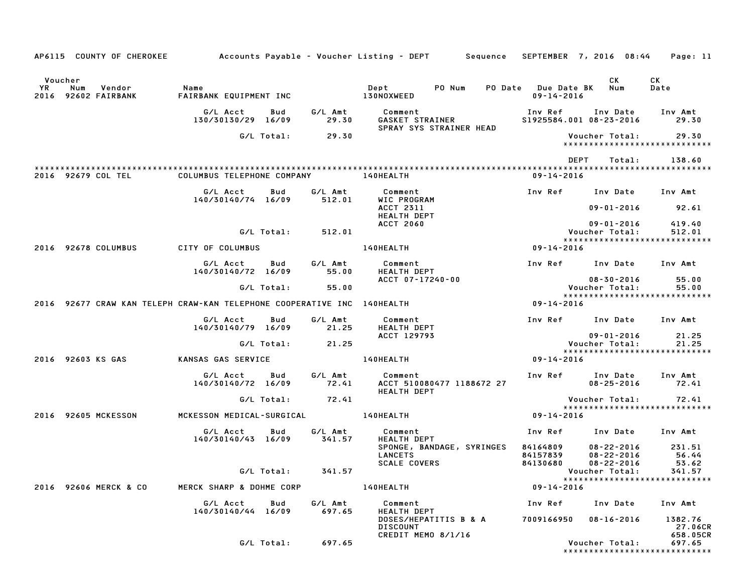|           | AP6115 COUNTY OF CHEROKEE Accounts Payable - Voucher Listing - DEPT Sequence SEPTEMBER 7, 2016 08:44 |                                     |            |                   |                                                       |  |                                             |                                               | Page: 11                                          |
|-----------|------------------------------------------------------------------------------------------------------|-------------------------------------|------------|-------------------|-------------------------------------------------------|--|---------------------------------------------|-----------------------------------------------|---------------------------------------------------|
| Voucher   |                                                                                                      |                                     |            |                   |                                                       |  |                                             | CK                                            | СK                                                |
| <b>YR</b> | Num<br>Vendor<br>2016 92602 FAIRBANK                                                                 | Name<br>FAIRBANK EQUIPMENT INC      |            |                   | 130NOXWEED                                            |  | PO Date Due Date BK Num<br>$09 - 14 - 2016$ |                                               | Date                                              |
|           |                                                                                                      | G/L Acct<br>130/30130/29 16/09      | Bud        | G/L Amt<br>29.30  | Comment<br>GASKET STRAINER<br>SPRAY SYS STRAINER HEAD |  |                                             | Inv Ref Inv Date<br>\$1925584.001 08-23-2016  | Inv Amt<br>29.30                                  |
|           |                                                                                                      |                                     | G/L Total: | 29.30             |                                                       |  |                                             | Voucher Total:                                | 29.30<br>*****************************            |
|           |                                                                                                      |                                     |            |                   |                                                       |  | <b>DEPT</b>                                 | Total:                                        | 138.60                                            |
|           | 2016 92679 COL TEL                                                                                   | COLUMBUS TELEPHONE COMPANY          |            |                   | <b>140HEALTH</b>                                      |  | 09-14-2016                                  |                                               |                                                   |
|           |                                                                                                      | G/L Acct<br>140/30140/74 16/09      | Bud        | G/L Amt<br>512.01 | Comment<br>WIC PROGRAM                                |  | Inv Ref                                     | Inv Date                                      | Inv Amt                                           |
|           |                                                                                                      |                                     |            |                   | ACCT 2311<br>HEALTH DEPT                              |  |                                             | 09-01-2016                                    | 92.61                                             |
|           |                                                                                                      |                                     | G/L Total: | 512.01            | <b>ACCT 2060</b>                                      |  |                                             | 09-01-2016<br>Voucher Total:                  | 419.40<br>512.01<br>***************************** |
|           | 2016 92678 COLUMBUS                                                                                  | CITY OF COLUMBUS                    |            |                   | 140HEALTH                                             |  | 09-14-2016                                  |                                               |                                                   |
|           |                                                                                                      | G/L Acct<br>140/30140/72 16/09      | Bud        | G/L Amt<br>55.00  | Comment<br><b>HEALTH DEPT</b>                         |  |                                             | Inv Ref Inv Date Inv Amt                      |                                                   |
|           |                                                                                                      |                                     | G/L Total: | 55.00             | ACCT 07-17240-00                                      |  |                                             | $08 - 30 - 2016$<br><b>Voucher Total:</b>     | 55.00<br>55.00                                    |
|           | 2016 92677 CRAW KAN TELEPH CRAW-KAN TELEPHONE COOPERATIVE INC 140HEALTH                              |                                     |            |                   |                                                       |  | 09-14-2016                                  |                                               | *****************************                     |
|           |                                                                                                      | G/L Acct                            | Bud        | G/L Amt           | Comment                                               |  |                                             | Inv Ref Inv Date                              | Inv Amt                                           |
|           |                                                                                                      | 140/30140/79 16/09                  |            | 21.25             | <b>HEALTH DEPT</b><br>ACCT 129793                     |  |                                             | 09-01-2016                                    | 21.25                                             |
|           |                                                                                                      |                                     | G/L Total: | 21.25             |                                                       |  |                                             | Voucher Total:                                | 21.25<br>*****************************            |
|           | 2016 92603 KS GAS                                                                                    | KANSAS GAS SERVICE                  |            |                   | 140HEALTH                                             |  | 09-14-2016                                  |                                               |                                                   |
|           |                                                                                                      | G/L Acct<br>140/30140/72 16/09      | Bud        | G/L Amt<br>72.41  | Comment<br>ACCT 510080477 1188672 27                  |  |                                             | Inv Ref Inv Date<br>$08 - 25 - 2016$          | Inv Amt<br>72.41                                  |
|           |                                                                                                      |                                     | G/L Total: | 72.41             | <b>HEALTH DEPT</b>                                    |  |                                             | Voucher Total:                                | 72.41                                             |
|           | 2016 92605 MCKESSON                                                                                  | MCKESSON MEDICAL-SURGICAL 140HEALTH |            |                   |                                                       |  | 09-14-2016                                  |                                               | *****************************                     |
|           |                                                                                                      | G/L Acct<br>140/30140/43 16/09      | Bud        | G/L Amt<br>341.57 | Comment<br><b>HEALTH DEPT</b>                         |  | Inv Ref                                     | Inv Date                                      | Inv Amt                                           |
|           |                                                                                                      |                                     |            |                   | SPONGE, BANDAGE, SYRINGES                             |  | 84164809                                    | $08 - 22 - 2016$                              | 231.51                                            |
|           |                                                                                                      |                                     |            |                   | <b>LANCETS</b><br><b>SCALE COVERS</b>                 |  | 84157839                                    | $08 - 22 - 2016$<br>84130680 08-22-2016 53.62 | 56.44                                             |
|           |                                                                                                      |                                     | G/L Total: | 341.57            |                                                       |  |                                             | Voucher Total:                                | 341.57                                            |
|           | 2016 92606 MERCK & CO                                                                                | MERCK SHARP & DOHME CORP            |            |                   | 140HEALTH                                             |  | 09-14-2016                                  |                                               | *****************************                     |
|           |                                                                                                      | G/L Acct<br>140/30140/44 16/09      | Bud        | G/L Amt<br>697.65 | Comment<br><b>HEALTH DEPT</b>                         |  | Inv Ref                                     | Inv Date                                      | Inv Amt                                           |
|           |                                                                                                      |                                     |            |                   | DOSES/HEPATITIS B & A<br><b>DISCOUNT</b>              |  | 7009166950                                  | 08-16-2016                                    | 1382.76<br>27.06CR                                |
|           |                                                                                                      |                                     | G/L Total: | 697.65            | CREDIT MEMO 8/1/16                                    |  |                                             | Voucher Total:                                | 658.05CR<br>697.65                                |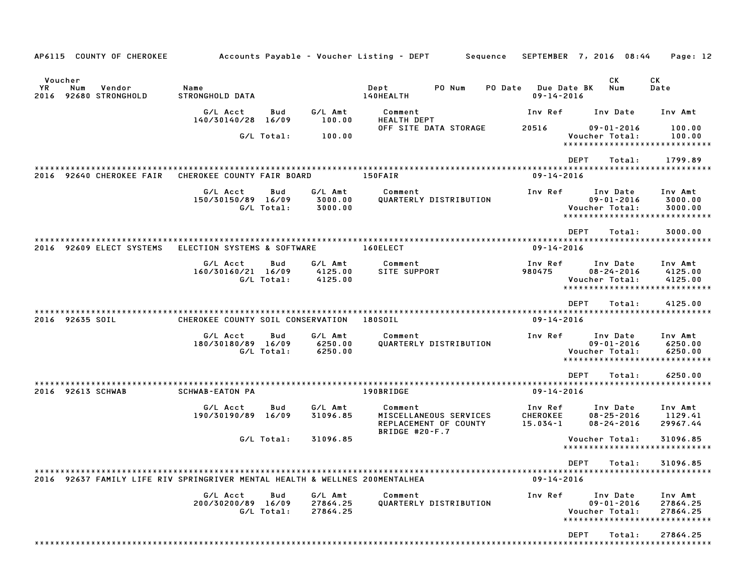| AP6115 COUNTY OF CHEROKEE                                                   |                                   |                   |                                 | Sequence<br>Accounts Payable – Voucher Listing – DEPT                        |                                            | SEPTEMBER 7, 2016 08:44                                                         | Page: 12                        |
|-----------------------------------------------------------------------------|-----------------------------------|-------------------|---------------------------------|------------------------------------------------------------------------------|--------------------------------------------|---------------------------------------------------------------------------------|---------------------------------|
| Voucher<br>YR.<br>Num<br>Vendor<br>2016 92680 STRONGHOLD                    | Name<br>STRONGHOLD DATA           |                   |                                 | Dept<br>PO Num<br>140HEALTH                                                  | PO Date<br>Due Date BK<br>$09 - 14 - 2016$ | CK.<br>Num                                                                      | СK<br>Date                      |
|                                                                             | G/L Acct<br>140/30140/28 16/09    | Bud               | G/L Amt<br>100.00               | Comment<br><b>HEALTH DEPT</b>                                                | Inv Ref                                    | Inv Date                                                                        | Inv Amt                         |
|                                                                             |                                   | G/L Total:        | 100.00                          | OFF SITE DATA STORAGE                                                        | 20516                                      | $09 - 01 - 2016$<br>Voucher Total:<br>*****************************             | 100.00<br>100.00                |
| 2016 92640 CHEROKEE FAIR                                                    | CHEROKEE COUNTY FAIR BOARD        |                   |                                 | **********************************<br>150FAIR                                | $09 - 14 - 2016$                           | <b>DEPT</b><br>Total:                                                           | 1799.89                         |
|                                                                             | G/L Acct<br>150/30150/89 16/09    | Bud<br>G/L Total: | G/L Amt<br>3000.00<br>3000.00   | Comment<br>QUARTERLY DISTRIBUTION                                            | Inv Ref                                    | Inv Date<br>$09 - 01 - 2016$<br>Voucher Total:<br>***************************** | Inv Amt<br>3000.00<br>3000.00   |
| 2016 92609 ELECT SYSTEMS                                                    | ELECTION SYSTEMS & SOFTWARE       |                   |                                 | 160ELECT                                                                     | $09 - 14 - 2016$                           | <b>DEPT</b><br>Total:                                                           | 3000.00                         |
|                                                                             | G/L Acct<br>160/30160/21 16/09    | Bud<br>G/L Total: | G/L Amt<br>4125.00<br>4125.00   | Comment<br><b>SITE SUPPORT</b>                                               | Inv Ref<br>980475                          | Inv Date<br>$08 - 24 - 2016$<br>Voucher Total:<br>***************************** | Inv Amt<br>4125.00<br>4125.00   |
| 2016 92635 SOIL                                                             | CHEROKEE COUNTY SOIL CONSERVATION |                   |                                 | 180SOIL                                                                      | $09 - 14 - 2016$                           | <b>DEPT</b><br>Total:                                                           | 4125.00                         |
|                                                                             | G/L Acct<br>180/30180/89 16/09    | Bud<br>G/L Total: | G/L Amt<br>6250.00<br>6250.00   | Comment<br>QUARTERLY DISTRIBUTION                                            | Inv Ref                                    | Inv Date<br>$09 - 01 - 2016$<br>Voucher Total:<br>***************************** | Inv Amt<br>6250.00<br>6250.00   |
| 2016 92613 SCHWAB                                                           | <b>SCHWAB-EATON PA</b>            |                   |                                 | 190BRIDGE                                                                    | $09 - 14 - 2016$                           | <b>DEPT</b><br>Total:                                                           | 6250.00                         |
|                                                                             |                                   |                   |                                 |                                                                              |                                            |                                                                                 |                                 |
|                                                                             | G/L Acct<br>190/30190/89 16/09    | Bud               | G/L Amt<br>31096.85             | Comment<br>MISCELLANEOUS SERVICES<br>REPLACEMENT OF COUNTY<br>BRIDGE #20-F.7 | Inv Ref<br>CHEROKEE<br>$15.034 - 1$        | Inv Date<br>$08 - 25 - 2016$<br>$08 - 24 - 2016$                                | Inv Amt<br>1129.41<br>29967.44  |
|                                                                             |                                   | G/L Total:        | 31096.85                        |                                                                              |                                            | Voucher Total:<br>******************************                                | 31096.85                        |
| 2016 92637 FAMILY LIFE RIV SPRINGRIVER MENTAL HEALTH & WELLNES 200MENTALHEA |                                   |                   |                                 |                                                                              | $09 - 14 - 2016$                           | DEPT Total:                                                                     | 31096.85                        |
|                                                                             | G/L Acct<br>200/30200/89 16/09    | Bud<br>G/L Total: | G/L Amt<br>27864.25<br>27864.25 | Comment<br>QUARTERLY DISTRIBUTION                                            | Inv Ref                                    | Inv Date<br>$09 - 01 - 2016$<br>Voucher Total:<br>***************************** | Inv Amt<br>27864.25<br>27864.25 |
|                                                                             |                                   |                   |                                 |                                                                              |                                            | DEPT<br>Total:                                                                  | 27864.25                        |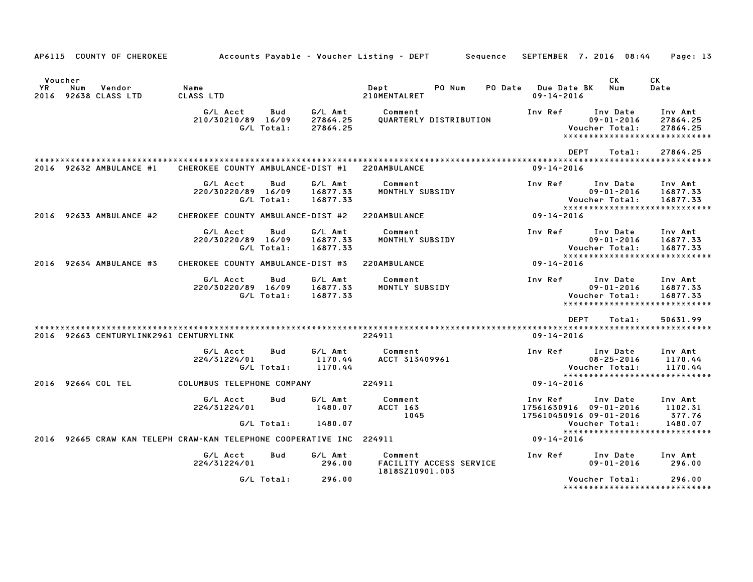|                              |     | AP6115 COUNTY OF CHEROKEE              |                                                                 |                   |                                 | Accounts Payable – Voucher Listing – DEPT<br>Sequence |                                                              | SEPTEMBER 7, 2016 08:44                        | Page: 13                                                         |
|------------------------------|-----|----------------------------------------|-----------------------------------------------------------------|-------------------|---------------------------------|-------------------------------------------------------|--------------------------------------------------------------|------------------------------------------------|------------------------------------------------------------------|
| Voucher<br><b>YR</b><br>2016 | Num | Vendor<br>92638 CLASS LTD              | Name<br>CLASS LTD                                               |                   |                                 | Dept<br>PO Num<br>PO Date<br>210MENTALRET             | Due Date BK<br>$09 - 14 - 2016$                              | СK<br>Num                                      | СK<br>Date                                                       |
|                              |     |                                        | G/L Acct<br>210/30210/89 16/09                                  | Bud<br>G/L Total: | G/L Amt<br>27864.25<br>27864.25 | Comment<br>QUARTERLY DISTRIBUTION                     | Inv Ref                                                      | Inv Date<br>$09 - 01 - 2016$<br>Voucher Total: | Inv Amt<br>27864.25<br>27864.25<br>***************************** |
|                              |     |                                        |                                                                 |                   |                                 |                                                       | <b>DEPT</b>                                                  | Total:                                         | 27864.25                                                         |
|                              |     | 2016 92632 AMBULANCE #1                | CHEROKEE COUNTY AMBULANCE-DIST #1                               |                   |                                 | 220AMBULANCE                                          | $09 - 14 - 2016$                                             |                                                |                                                                  |
|                              |     |                                        | G/L Acct<br>220/30220/89 16/09                                  | Bud<br>G/L Total: | G/L Amt<br>16877.33<br>16877.33 | Comment<br>MONTHLY SUBSIDY                            | Inv Ref                                                      | Inv Date<br>$09 - 01 - 2016$<br>Voucher Total: | Inv Amt<br>16877.33<br>16877.33                                  |
|                              |     | 2016 92633 AMBULANCE #2                | CHEROKEE COUNTY AMBULANCE-DIST #2                               |                   |                                 | 220AMBULANCE                                          | $09 - 14 - 2016$                                             |                                                | *****************************                                    |
|                              |     |                                        | G/L Acct<br>220/30220/89 16/09                                  | Bud<br>G/L Total: | G/L Amt<br>16877.33<br>16877.33 | Comment<br>MONTHLY SUBSIDY                            | Inv Ref                                                      | Inv Date<br>$09 - 01 - 2016$<br>Voucher Total: | Inv Amt<br>16877.33<br>16877.33                                  |
| 2016                         |     | 92634 AMBULANCE #3                     | CHEROKEE COUNTY AMBULANCE-DIST #3                               |                   |                                 | 220AMBULANCE                                          | $09 - 14 - 2016$                                             |                                                | *****************************                                    |
|                              |     |                                        | G/L Acct<br>220/30220/89 16/09                                  | Bud<br>G/L Total: | G/L Amt<br>16877.33<br>16877.33 | Comment<br>MONTLY SUBSIDY                             | Inv Ref                                                      | Inv Date<br>$09 - 01 - 2016$<br>Voucher Total: | Inv Amt<br>16877.33<br>16877.33<br>***************************** |
|                              |     |                                        |                                                                 |                   |                                 |                                                       | <b>DEPT</b>                                                  | Total:                                         | 50631.99                                                         |
|                              |     | 2016 92663 CENTURYLINK2961 CENTURYLINK |                                                                 |                   |                                 | 224911                                                | $09 - 14 - 2016$                                             |                                                |                                                                  |
|                              |     |                                        | G/L Acct<br>224/31224/01                                        | Bud<br>G/L Total: | G/L Amt<br>1170.44<br>1170.44   | Comment<br>ACCT 313409961                             | Inv Ref                                                      | Inv Date<br>$08 - 25 - 2016$<br>Voucher Total: | Inv Amt<br>1170.44<br>1170.44<br>*****************************   |
|                              |     | 2016 92664 COL TEL                     | COLUMBUS TELEPHONE COMPANY                                      |                   |                                 | 224911                                                | $09 - 14 - 2016$                                             |                                                |                                                                  |
|                              |     |                                        | G/L Acct<br>224/31224/01                                        | Bud               | G/L Amt<br>1480.07              | Comment<br>ACCT 163<br>1045                           | Inv Ref<br>17561630916 09-01-2016<br>175610450916 09-01-2016 | Inv Date                                       | Inv Amt<br>1102.31<br>377.76                                     |
|                              |     |                                        |                                                                 | G/L Total:        | 1480.07                         |                                                       |                                                              | Voucher Total:                                 | 1480.07                                                          |
| 2016                         |     |                                        | 92665 CRAW KAN TELEPH CRAW-KAN TELEPHONE COOPERATIVE INC 224911 |                   |                                 |                                                       | $09 - 14 - 2016$                                             |                                                | *****************************                                    |
|                              |     |                                        | G/L Acct<br>224/31224/01                                        | Bud               | G/L Amt<br>296.00               | Comment<br>FACILITY ACCESS SERVICE<br>1818SZ10901.003 | Inv Ref                                                      | Inv Date<br>$09 - 01 - 2016$                   | Inv Amt<br>296.00                                                |
|                              |     |                                        |                                                                 | G/L Total:        | 296.00                          |                                                       |                                                              | Voucher Total:                                 | 296.00<br>*****************************                          |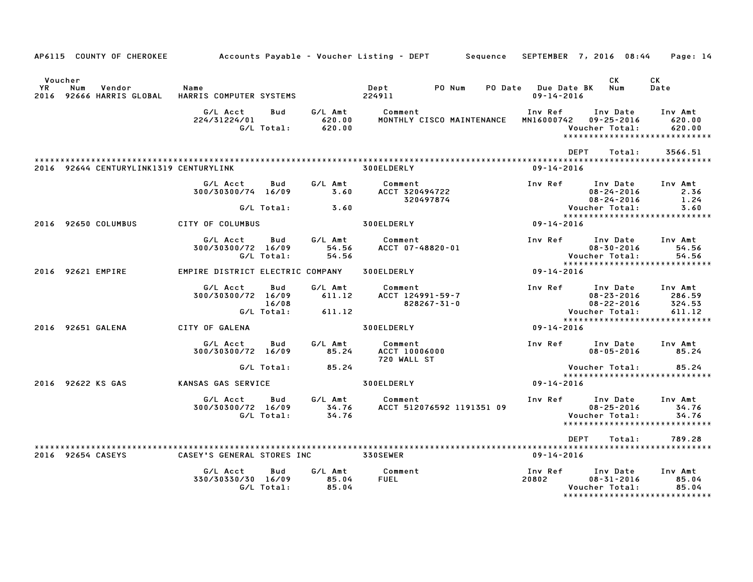|    |                | AP6115 COUNTY OF CHEROKEE              |                                  |                            |                             | Accounts Payable – Voucher Listing – DEPT         Sequence |                                         | SEPTEMBER 7, 2016 08:44                                                         | Page: 14                              |
|----|----------------|----------------------------------------|----------------------------------|----------------------------|-----------------------------|------------------------------------------------------------|-----------------------------------------|---------------------------------------------------------------------------------|---------------------------------------|
| YR | Voucher<br>Num | Vendor<br>2016 92666 HARRIS GLOBAL     | Name<br>HARRIS COMPUTER SYSTEMS  |                            |                             | PO Num<br>Dept<br>224911                                   | PO Date Due Date BK<br>$09 - 14 - 2016$ | CK<br>Num                                                                       | <b>CK</b><br>Date                     |
|    |                |                                        | G/L Acct<br>224/31224/01         | Bud<br>G/L Total:          | G/L Amt<br>620.00<br>620.00 | Comment<br>MONTHLY CISCO MAINTENANCE                       | Inv Ref<br>MN16000742                   | Inv Date<br>$09 - 25 - 2016$<br>Voucher Total:<br>***************************** | Inv Amt<br>620.00<br>620.00           |
|    |                | 2016 92644 CENTURYLINK1319 CENTURYLINK |                                  |                            |                             | <b>300ELDERLY</b>                                          | $09 - 14 - 2016$                        | <b>DEPT</b><br>Total:                                                           | 3566.51                               |
|    |                |                                        | G/L Acct<br>300/30300/74 16/09   | Bud<br>G/L Total:          | G/L Amt<br>3.60<br>3.60     | Comment<br>ACCT 320494722<br>320497874                     | Inv Ref                                 | Inv Date<br>$08 - 24 - 2016$<br>$08 - 24 - 2016$<br>Voucher Total:              | Inv Amt<br>2.36<br>1.24<br>3.60       |
|    |                | 2016 92650 COLUMBUS                    | CITY OF COLUMBUS                 |                            |                             | 300ELDERLY                                                 | 09-14-2016                              | ******************************                                                  |                                       |
|    |                |                                        | G/L Acct<br>300/30300/72 16/09   | Bud<br>G/L Total:          | G/L Amt<br>54.56<br>54.56   | Comment<br>ACCT 07-48820-01                                | Inv Ref                                 | Inv Date<br>$08 - 30 - 2016$<br>Voucher Total:                                  | Inv Amt<br>54.56<br>54.56             |
|    |                | 2016 92621 EMPIRE                      | EMPIRE DISTRICT ELECTRIC COMPANY |                            |                             | 300ELDERLY                                                 | 09-14-2016                              | ******************************                                                  |                                       |
|    |                |                                        | G/L Acct<br>300/30300/72 16/09   | Bud<br>16/08<br>G/L Total: | G/L Amt<br>611.12<br>611.12 | Comment<br>ACCT 124991-59-7<br>828267-31-0                 | Inv Ref                                 | Inv Date<br>$08 - 23 - 2016$<br>$08 - 22 - 2016$<br>Voucher Total:              | Inv Amt<br>286.59<br>324.53<br>611.12 |
|    |                | 2016 92651 GALENA                      | CITY OF GALENA                   |                            |                             | 300ELDERLY                                                 | 09-14-2016                              | ******************************                                                  |                                       |
|    |                |                                        | G/L Acct<br>300/30300/72 16/09   | Bud                        | G/L Amt<br>85.24            | Comment<br>ACCT 10006000<br>720 WALL ST                    | Inv Ref                                 | Inv Date<br>$08 - 05 - 2016$                                                    | Inv Amt<br>85.24                      |
|    |                |                                        |                                  | G/L Total:                 | 85.24                       |                                                            |                                         | Voucher Total:<br>*****************************                                 | 85.24                                 |
|    |                | 2016 92622 KS GAS                      | KANSAS GAS SERVICE               |                            |                             | 300ELDERLY                                                 | $09 - 14 - 2016$                        |                                                                                 |                                       |
|    |                |                                        | G/L Acct<br>300/30300/72 16/09   | Bud<br>G/L Total:          | G/L Amt<br>34.76<br>34.76   | Comment<br>ACCT 512076592 1191351 09                       | Inv Ref                                 | Inv Date<br>$08 - 25 - 2016$<br>Voucher Total:<br>***************************** | Inv Amt<br>34.76<br>34.76             |
|    |                |                                        |                                  |                            |                             |                                                            |                                         | <b>DEPT</b><br>Total:                                                           | 789.28                                |
|    |                | 2016 92654 CASEYS                      | CASEY'S GENERAL STORES INC       |                            |                             | <b>330SEWER</b>                                            | 09-14-2016                              |                                                                                 |                                       |
|    |                |                                        | G/L Acct<br>330/30330/30 16/09   | Bud<br>G/L Total:          | G/L Amt<br>85.04<br>85.04   | Comment<br><b>FUEL</b>                                     | Inv Ref<br>20802                        | Inv Date<br>$08 - 31 - 2016$<br>Voucher Total:<br>***************************** | Inv Amt<br>85.04<br>85.04             |